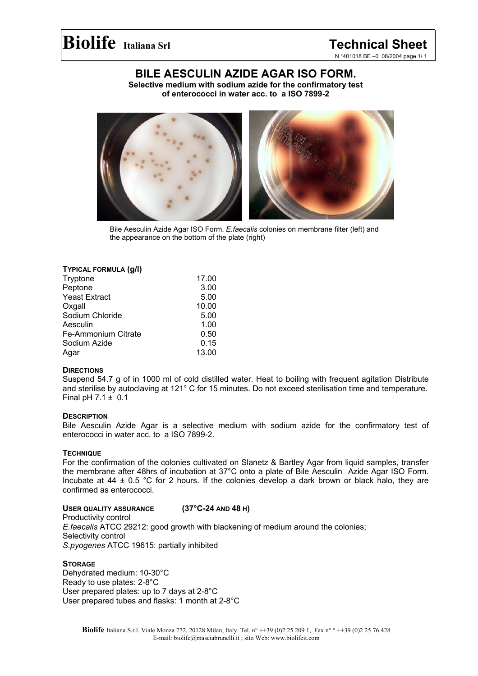## **BILE AESCULIN AZIDE AGAR ISO FORM.**

**Selective medium with sodium azide for the confirmatory test of enterococci in water acc. to a ISO 7899-2** 



Bile Aesculin Azide Agar ISO Form. *E.faecalis* colonies on membrane filter (left) and the appearance on the bottom of the plate (right)

#### **TYPICAL FORMULA (g/l)**

| Tryptone             | 17.00 |
|----------------------|-------|
| Peptone              | 3.00  |
| <b>Yeast Extract</b> | 5.00  |
| Oxgall               | 10.00 |
| Sodium Chloride      | 5.00  |
| Aesculin             | 1.00  |
| Fe-Ammonium Citrate  | 0.50  |
| Sodium Azide         | 0.15  |
| Agar                 | 13.00 |

#### **DIRECTIONS**

Suspend 54.7 g of in 1000 ml of cold distilled water. Heat to boiling with frequent agitation Distribute and sterilise by autoclaving at 121° C for 15 minutes. Do not exceed sterilisation time and temperature. Final pH  $7.1 \pm 0.1$ 

#### **DESCRIPTION**

Bile Aesculin Azide Agar is a selective medium with sodium azide for the confirmatory test of enterococci in water acc. to a ISO 7899-2.

#### **TECHNIQUE**

For the confirmation of the colonies cultivated on Slanetz & Bartley Agar from liquid samples, transfer the membrane after 48hrs of incubation at 37°C onto a plate of Bile Aesculin Azide Agar ISO Form. Incubate at 44  $\pm$  0.5 °C for 2 hours. If the colonies develop a dark brown or black halo, they are confirmed as enterococci.

### **USER QUALITY ASSURANCE (37°C-24 AND 48 H)**

Productivity control *E.faecalis* ATCC 29212: good growth with blackening of medium around the colonies; Selectivity control *S.pyogenes* ATCC 19615: partially inhibited

#### **STORAGE**

Dehydrated medium: 10-30°C Ready to use plates: 2-8°C User prepared plates: up to 7 days at 2-8°C User prepared tubes and flasks: 1 month at 2-8°C